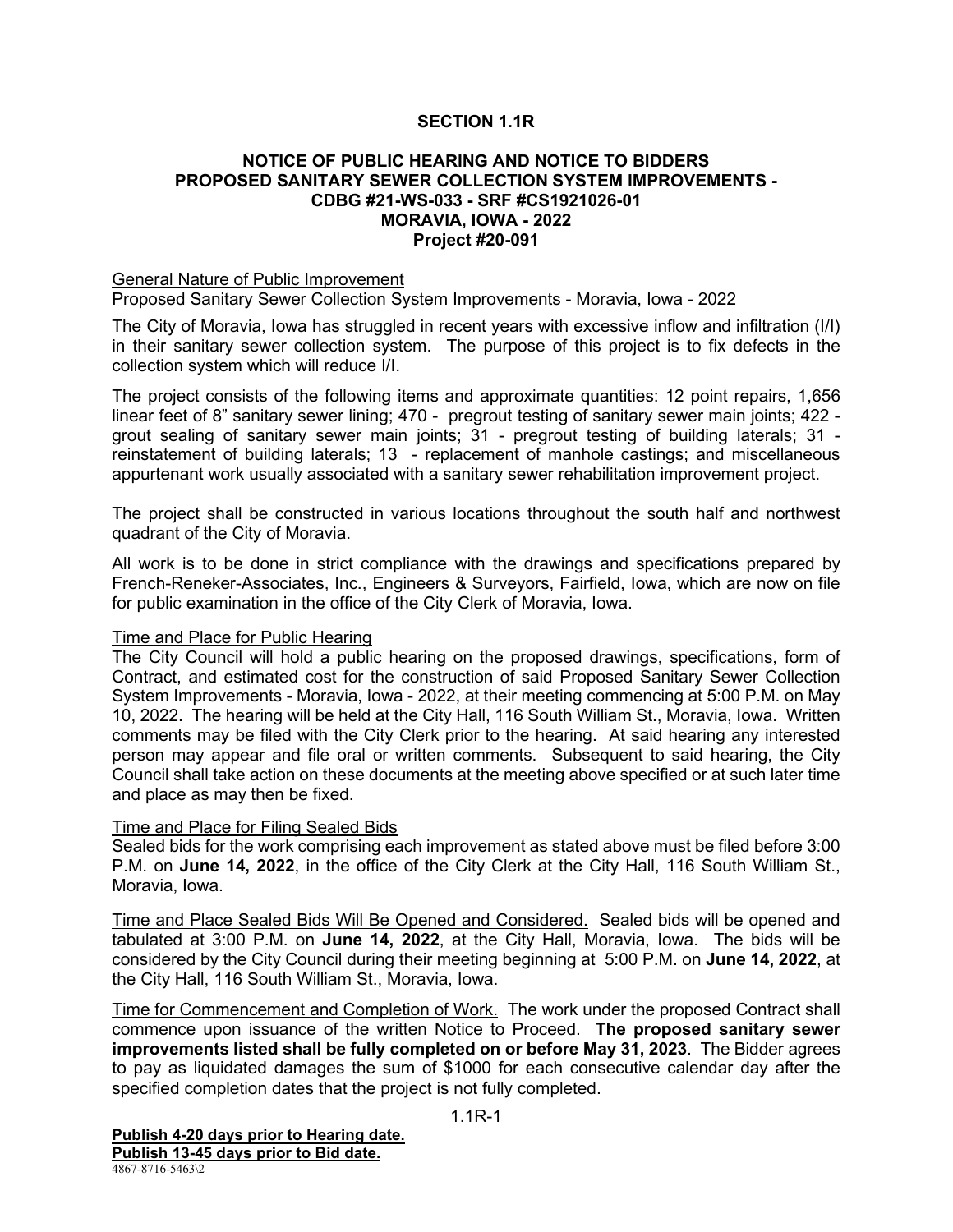## **SECTION 1.1R**

### **NOTICE OF PUBLIC HEARING AND NOTICE TO BIDDERS PROPOSED SANITARY SEWER COLLECTION SYSTEM IMPROVEMENTS - CDBG #21-WS-033 - SRF #CS1921026-01 MORAVIA, IOWA - 2022 Project #20-091**

#### General Nature of Public Improvement

Proposed Sanitary Sewer Collection System Improvements - Moravia, Iowa - 2022

The City of Moravia, Iowa has struggled in recent years with excessive inflow and infiltration (I/I) in their sanitary sewer collection system. The purpose of this project is to fix defects in the collection system which will reduce I/I.

The project consists of the following items and approximate quantities: 12 point repairs, 1,656 linear feet of 8" sanitary sewer lining; 470 - pregrout testing of sanitary sewer main joints; 422 grout sealing of sanitary sewer main joints; 31 - pregrout testing of building laterals; 31 reinstatement of building laterals; 13 - replacement of manhole castings; and miscellaneous appurtenant work usually associated with a sanitary sewer rehabilitation improvement project.

The project shall be constructed in various locations throughout the south half and northwest quadrant of the City of Moravia.

All work is to be done in strict compliance with the drawings and specifications prepared by French-Reneker-Associates, Inc., Engineers & Surveyors, Fairfield, Iowa, which are now on file for public examination in the office of the City Clerk of Moravia, Iowa.

#### Time and Place for Public Hearing

The City Council will hold a public hearing on the proposed drawings, specifications, form of Contract, and estimated cost for the construction of said Proposed Sanitary Sewer Collection System Improvements - Moravia, Iowa - 2022, at their meeting commencing at 5:00 P.M. on May 10, 2022. The hearing will be held at the City Hall, 116 South William St., Moravia, Iowa. Written comments may be filed with the City Clerk prior to the hearing. At said hearing any interested person may appear and file oral or written comments. Subsequent to said hearing, the City Council shall take action on these documents at the meeting above specified or at such later time and place as may then be fixed.

#### Time and Place for Filing Sealed Bids

Sealed bids for the work comprising each improvement as stated above must be filed before 3:00 P.M. on **June 14, 2022**, in the office of the City Clerk at the City Hall, 116 South William St., Moravia, Iowa.

Time and Place Sealed Bids Will Be Opened and Considered. Sealed bids will be opened and tabulated at 3:00 P.M. on **June 14, 2022**, at the City Hall, Moravia, Iowa. The bids will be considered by the City Council during their meeting beginning at 5:00 P.M. on **June 14, 2022**, at the City Hall, 116 South William St., Moravia, Iowa.

Time for Commencement and Completion of Work. The work under the proposed Contract shall commence upon issuance of the written Notice to Proceed. **The proposed sanitary sewer improvements listed shall be fully completed on or before May 31, 2023**. The Bidder agrees to pay as liquidated damages the sum of \$1000 for each consecutive calendar day after the specified completion dates that the project is not fully completed.

1.1R-1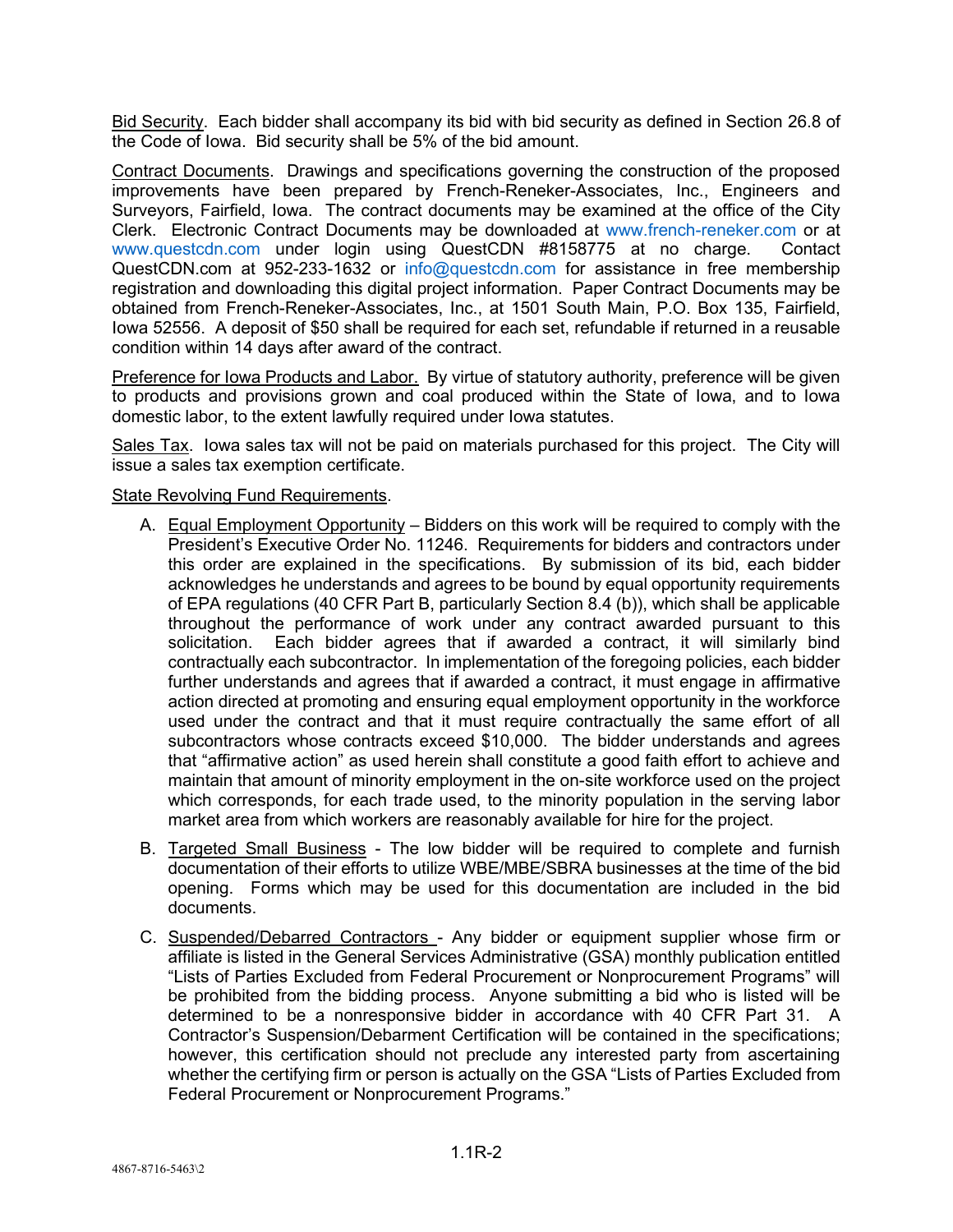Bid Security. Each bidder shall accompany its bid with bid security as defined in Section 26.8 of the Code of Iowa. Bid security shall be 5% of the bid amount.

Contract Documents. Drawings and specifications governing the construction of the proposed improvements have been prepared by French-Reneker-Associates, Inc., Engineers and Surveyors, Fairfield, Iowa. The contract documents may be examined at the office of the City Clerk. Electronic Contract Documents may be downloaded at [www.french-reneker.com](http://www.french-reneker.com/) or at [www.questcdn.com](http://www.questcdn.com/) under login using QuestCDN #8158775 at no charge. Contact QuestCDN.com at 952-233-1632 or [info@questcdn.com](mailto:info@questcdn.com) for assistance in free membership registration and downloading this digital project information. Paper Contract Documents may be obtained from French-Reneker-Associates, Inc., at 1501 South Main, P.O. Box 135, Fairfield, Iowa 52556. A deposit of \$50 shall be required for each set, refundable if returned in a reusable condition within 14 days after award of the contract.

Preference for Iowa Products and Labor. By virtue of statutory authority, preference will be given to products and provisions grown and coal produced within the State of Iowa, and to Iowa domestic labor, to the extent lawfully required under Iowa statutes.

Sales Tax. Iowa sales tax will not be paid on materials purchased for this project. The City will issue a sales tax exemption certificate.

State Revolving Fund Requirements.

- A. Equal Employment Opportunity Bidders on this work will be required to comply with the President's Executive Order No. 11246. Requirements for bidders and contractors under this order are explained in the specifications. By submission of its bid, each bidder acknowledges he understands and agrees to be bound by equal opportunity requirements of EPA regulations (40 CFR Part B, particularly Section 8.4 (b)), which shall be applicable throughout the performance of work under any contract awarded pursuant to this solicitation. Each bidder agrees that if awarded a contract, it will similarly bind contractually each subcontractor. In implementation of the foregoing policies, each bidder further understands and agrees that if awarded a contract, it must engage in affirmative action directed at promoting and ensuring equal employment opportunity in the workforce used under the contract and that it must require contractually the same effort of all subcontractors whose contracts exceed \$10,000. The bidder understands and agrees that "affirmative action" as used herein shall constitute a good faith effort to achieve and maintain that amount of minority employment in the on-site workforce used on the project which corresponds, for each trade used, to the minority population in the serving labor market area from which workers are reasonably available for hire for the project.
- B. Targeted Small Business The low bidder will be required to complete and furnish documentation of their efforts to utilize WBE/MBE/SBRA businesses at the time of the bid opening. Forms which may be used for this documentation are included in the bid documents.
- C. Suspended/Debarred Contractors Any bidder or equipment supplier whose firm or affiliate is listed in the General Services Administrative (GSA) monthly publication entitled "Lists of Parties Excluded from Federal Procurement or Nonprocurement Programs" will be prohibited from the bidding process. Anyone submitting a bid who is listed will be determined to be a nonresponsive bidder in accordance with 40 CFR Part 31. A Contractor's Suspension/Debarment Certification will be contained in the specifications; however, this certification should not preclude any interested party from ascertaining whether the certifying firm or person is actually on the GSA "Lists of Parties Excluded from Federal Procurement or Nonprocurement Programs."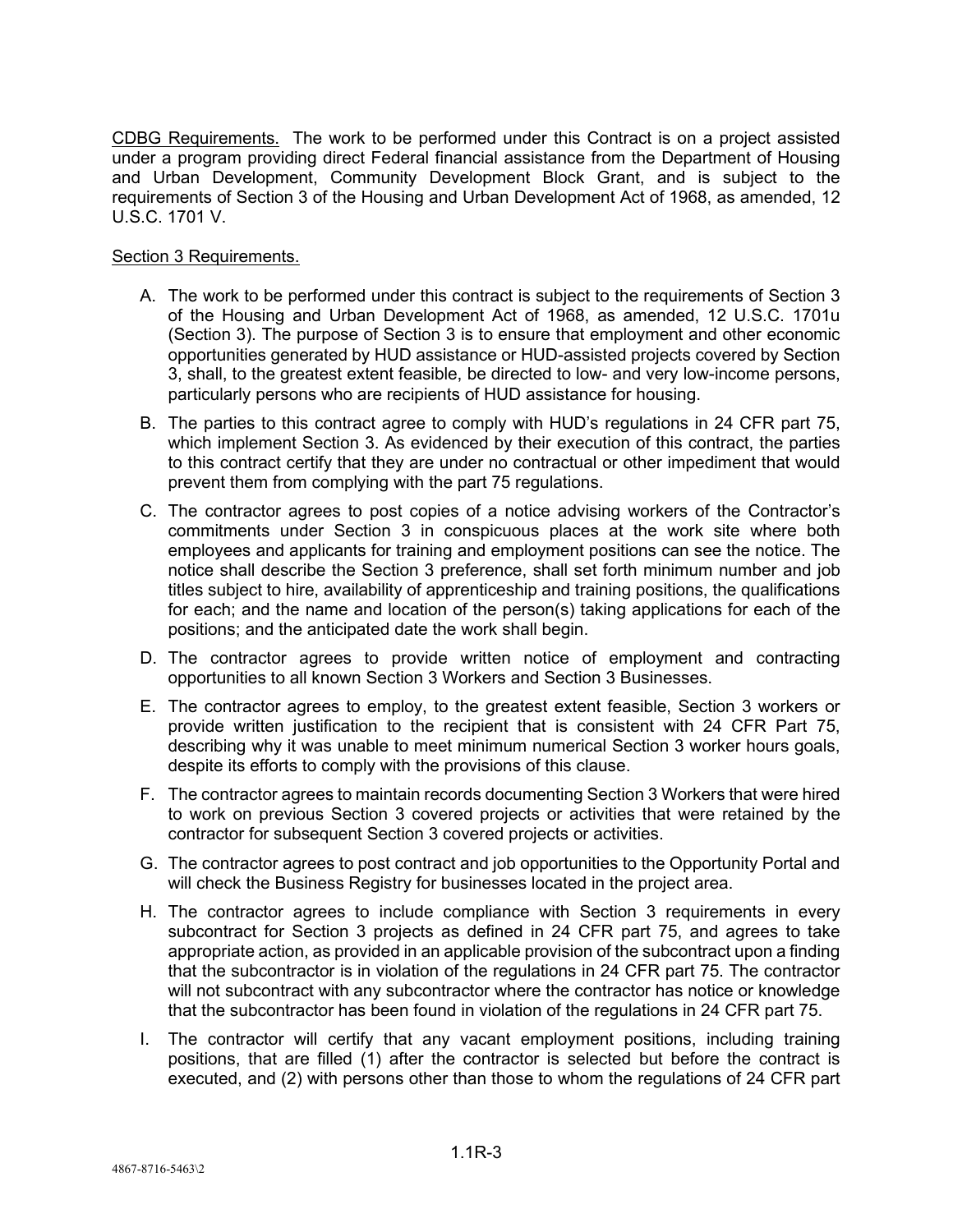CDBG Requirements. The work to be performed under this Contract is on a project assisted under a program providing direct Federal financial assistance from the Department of Housing and Urban Development, Community Development Block Grant, and is subject to the requirements of Section 3 of the Housing and Urban Development Act of 1968, as amended, 12 U.S.C. 1701 V.

# Section 3 Requirements.

- A. The work to be performed under this contract is subject to the requirements of Section 3 of the Housing and Urban Development Act of 1968, as amended, 12 U.S.C. 1701u (Section 3). The purpose of Section 3 is to ensure that employment and other economic opportunities generated by HUD assistance or HUD-assisted projects covered by Section 3, shall, to the greatest extent feasible, be directed to low- and very low-income persons, particularly persons who are recipients of HUD assistance for housing.
- B. The parties to this contract agree to comply with HUD's regulations in 24 CFR part 75, which implement Section 3. As evidenced by their execution of this contract, the parties to this contract certify that they are under no contractual or other impediment that would prevent them from complying with the part 75 regulations.
- C. The contractor agrees to post copies of a notice advising workers of the Contractor's commitments under Section 3 in conspicuous places at the work site where both employees and applicants for training and employment positions can see the notice. The notice shall describe the Section 3 preference, shall set forth minimum number and job titles subject to hire, availability of apprenticeship and training positions, the qualifications for each; and the name and location of the person(s) taking applications for each of the positions; and the anticipated date the work shall begin.
- D. The contractor agrees to provide written notice of employment and contracting opportunities to all known Section 3 Workers and Section 3 Businesses.
- E. The contractor agrees to employ, to the greatest extent feasible, Section 3 workers or provide written justification to the recipient that is consistent with 24 CFR Part 75, describing why it was unable to meet minimum numerical Section 3 worker hours goals, despite its efforts to comply with the provisions of this clause.
- F. The contractor agrees to maintain records documenting Section 3 Workers that were hired to work on previous Section 3 covered projects or activities that were retained by the contractor for subsequent Section 3 covered projects or activities.
- G. The contractor agrees to post contract and job opportunities to the Opportunity Portal and will check the Business Registry for businesses located in the project area.
- H. The contractor agrees to include compliance with Section 3 requirements in every subcontract for Section 3 projects as defined in 24 CFR part 75, and agrees to take appropriate action, as provided in an applicable provision of the subcontract upon a finding that the subcontractor is in violation of the regulations in 24 CFR part 75. The contractor will not subcontract with any subcontractor where the contractor has notice or knowledge that the subcontractor has been found in violation of the regulations in 24 CFR part 75.
- I. The contractor will certify that any vacant employment positions, including training positions, that are filled (1) after the contractor is selected but before the contract is executed, and (2) with persons other than those to whom the regulations of 24 CFR part